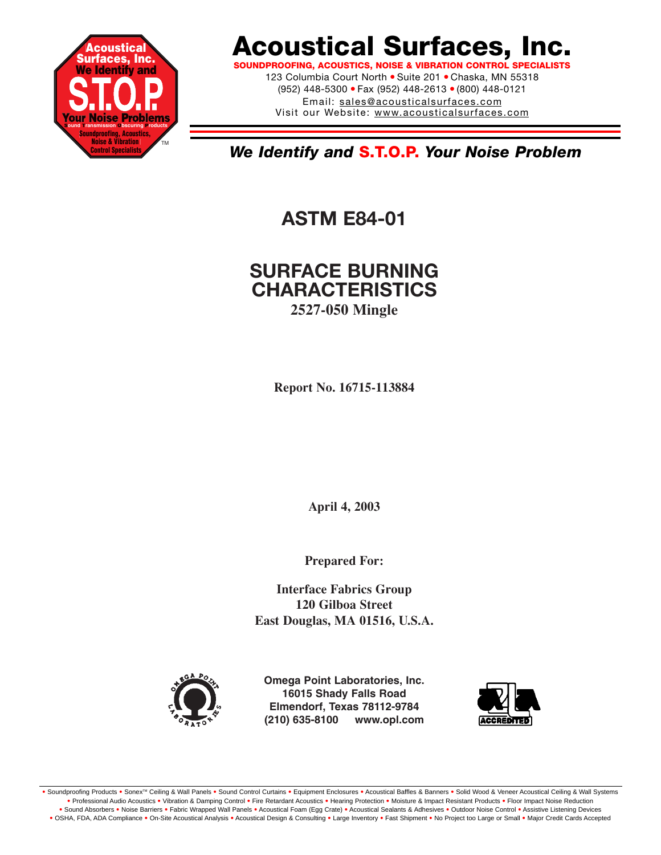

# **Acoustical Surfaces, Inc.**

**SOUNDPROOFING, ACOUSTICS, NOISE & VIBRATION CONTROL SPECIALISTS** 123 Columbia Court North · Suite 201 · Chaska, MN 55318 (952) 448-5300 ● Fax (952) 448-2613 ● (800) 448-0121 Email: sales@acousticalsurfaces.com Visit our Website: www.acousticalsurfaces.com

*We Identify and* **S.T.O.P.** *Your Noise Problem*

**ASTM E84-01**

## **SURFACE BURNING CHARACTERISTICS 2527-050 Mingle**

**Report No. 16715-113884**

**April 4, 2003**

**Prepared For:**

**Interface Fabrics Group 120 Gilboa Street East Douglas, MA 01516, U.S.A.**



**Omega Point Laboratories, Inc. 16015 Shady Falls Road Elmendorf, Texas 78112-9784 (210) 635-8100 www.opl.com**



. Soundproofing Products . Sonex™ Ceiling & Wall Panels . Sound Control Curtains . Equipment Enclosures . Acoustical Baffles & Banners . Solid Wood & Veneer Acoustical Ceiling & Wall Systems **•** Professional Audio Acoustics **•** Vibration & Damping Control **•** Fire Retardant Acoustics **•** Hearing Protection **•** Moisture & Impact Resistant Products **•** Floor Impact Noise Reduction . Sound Absorbers . Noise Barriers . Fabric Wrapped Wall Panels . Acoustical Foam (Egg Crate) . Acoustical Sealants & Adhesives . Outdoor Noise Control . Assistive Listening Devices . OSHA, FDA, ADA Compliance . On-Site Acoustical Analysis . Acoustical Design & Consulting . Large Inventory . Fast Shipment . No Project too Large or Small . Major Credit Cards Accepted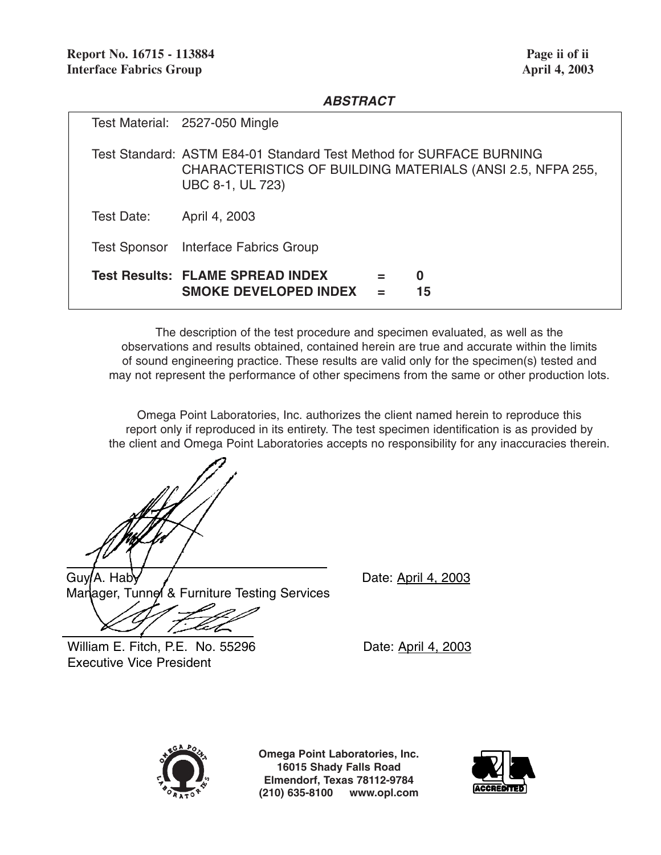#### *ABSTRACT*

|            | Test Material: 2527-050 Mingle                                                                                                                        |
|------------|-------------------------------------------------------------------------------------------------------------------------------------------------------|
|            | Test Standard: ASTM E84-01 Standard Test Method for SURFACE BURNING<br>CHARACTERISTICS OF BUILDING MATERIALS (ANSI 2.5, NFPA 255,<br>UBC 8-1, UL 723) |
| Test Date: | April 4, 2003                                                                                                                                         |
|            | Test Sponsor Interface Fabrics Group                                                                                                                  |
|            | Test Results: FLAME SPREAD INDEX<br>0<br>$=$<br><b>SMOKE DEVELOPED INDEX</b><br>15<br>$=$                                                             |

The description of the test procedure and specimen evaluated, as well as the observations and results obtained, contained herein are true and accurate within the limits of sound engineering practice. These results are valid only for the specimen(s) tested and may not represent the performance of other specimens from the same or other production lots.

Omega Point Laboratories, Inc. authorizes the client named herein to reproduce this report only if reproduced in its entirety. The test specimen identification is as provided by the client and Omega Point Laboratories accepts no responsibility for any inaccuracies therein.

 $Guy/A. Hab$   $/$ Manager, Tunnel & Furniture Testing Services

William E. Fitch, P.E. No. 55296 Date: April 4, 2003 Executive Vice President



**Omega Point Laboratories, Inc. 16015 Shady Falls Road Elmendorf, Texas 78112-9784 (210) 635-8100 www.opl.com**

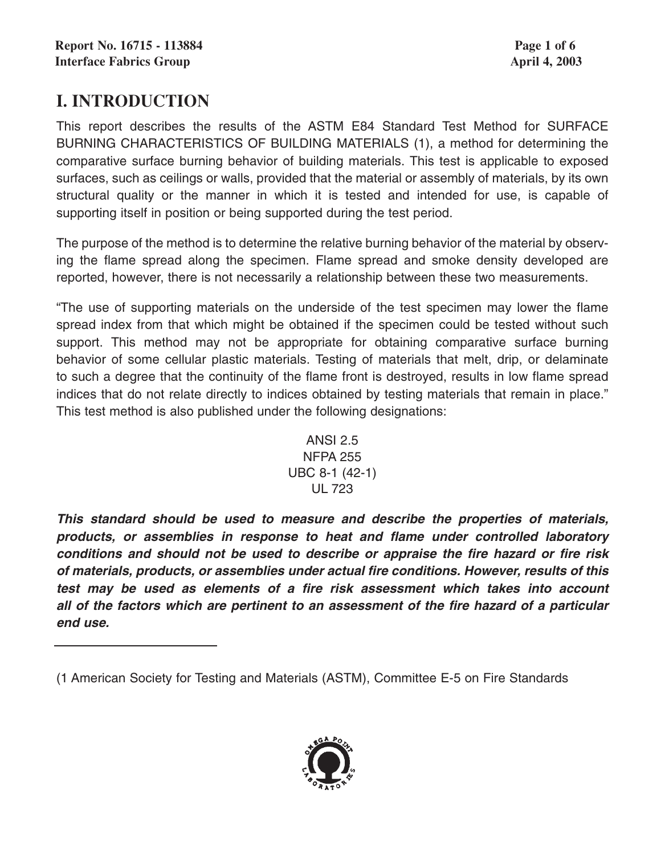# **I. INTRODUCTION**

This report describes the results of the ASTM E84 Standard Test Method for SURFACE BURNING CHARACTERISTICS OF BUILDING MATERIALS (1), a method for determining the comparative surface burning behavior of building materials. This test is applicable to exposed surfaces, such as ceilings or walls, provided that the material or assembly of materials, by its own structural quality or the manner in which it is tested and intended for use, is capable of supporting itself in position or being supported during the test period.

The purpose of the method is to determine the relative burning behavior of the material by observing the flame spread along the specimen. Flame spread and smoke density developed are reported, however, there is not necessarily a relationship between these two measurements.

"The use of supporting materials on the underside of the test specimen may lower the flame spread index from that which might be obtained if the specimen could be tested without such support. This method may not be appropriate for obtaining comparative surface burning behavior of some cellular plastic materials. Testing of materials that melt, drip, or delaminate to such a degree that the continuity of the flame front is destroyed, results in low flame spread indices that do not relate directly to indices obtained by testing materials that remain in place." This test method is also published under the following designations:



*This standard should be used to measure and describe the properties of materials, products, or assemblies in response to heat and flame under controlled laboratory conditions and should not be used to describe or appraise the fire hazard or fire risk of materials, products, or assemblies under actual fire conditions. However, results of this test may be used as elements of a fire risk assessment which takes into account all of the factors which are pertinent to an assessment of the fire hazard of a particular end use.*



<sup>(1</sup> American Society for Testing and Materials (ASTM), Committee E-5 on Fire Standards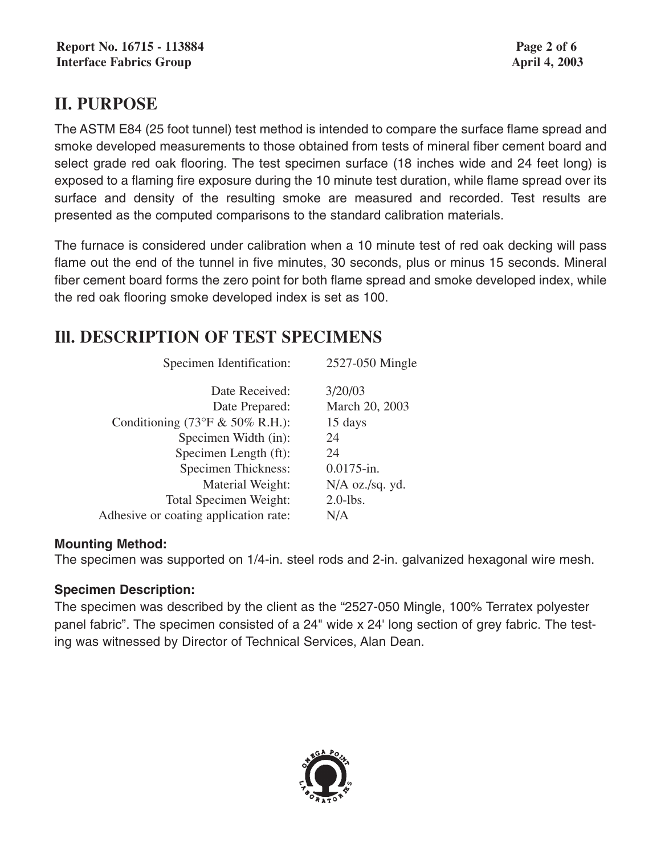# **II. PURPOSE**

The ASTM E84 (25 foot tunnel) test method is intended to compare the surface flame spread and smoke developed measurements to those obtained from tests of mineral fiber cement board and select grade red oak flooring. The test specimen surface (18 inches wide and 24 feet long) is exposed to a flaming fire exposure during the 10 minute test duration, while flame spread over its surface and density of the resulting smoke are measured and recorded. Test results are presented as the computed comparisons to the standard calibration materials.

The furnace is considered under calibration when a 10 minute test of red oak decking will pass flame out the end of the tunnel in five minutes, 30 seconds, plus or minus 15 seconds. Mineral fiber cement board forms the zero point for both flame spread and smoke developed index, while the red oak flooring smoke developed index is set as 100.

# **Ill. DESCRIPTION OF TEST SPECIMENS**

| Specimen Identification:              | 2527-050 Mingle   |
|---------------------------------------|-------------------|
| Date Received:                        | 3/20/03           |
| Date Prepared:                        | March 20, 2003    |
| Conditioning (73°F & 50% R.H.):       | 15 days           |
| Specimen Width (in):                  | 24                |
| Specimen Length (ft):                 | 24                |
| <b>Specimen Thickness:</b>            | $0.0175$ -in.     |
| Material Weight:                      | $N/A$ oz./sq. yd. |
| <b>Total Specimen Weight:</b>         | $2.0$ -lbs.       |
| Adhesive or coating application rate: | N/A               |
|                                       |                   |

#### **Mounting Method:**

The specimen was supported on 1/4-in. steel rods and 2-in. galvanized hexagonal wire mesh.

### **Specimen Description:**

The specimen was described by the client as the "2527-050 Mingle, 100% Terratex polyester panel fabric". The specimen consisted of a 24" wide x 24' long section of grey fabric. The testing was witnessed by Director of Technical Services, Alan Dean.

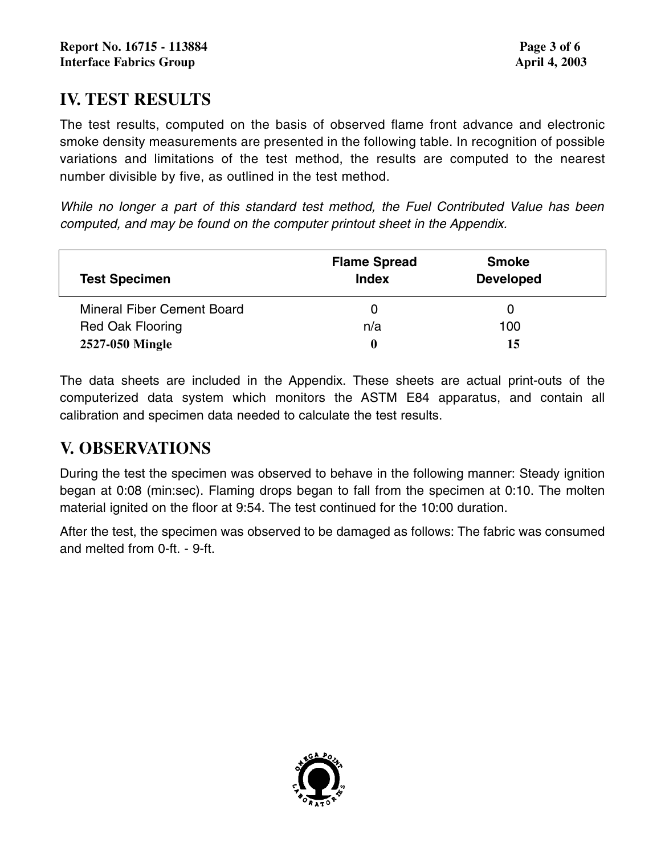## **IV. TEST RESULTS**

The test results, computed on the basis of observed flame front advance and electronic smoke density measurements are presented in the following table. In recognition of possible variations and limitations of the test method, the results are computed to the nearest number divisible by five, as outlined in the test method.

*While no longer a part of this standard test method, the Fuel Contributed Value has been computed, and may be found on the computer printout sheet in the Appendix.*

| <b>Test Specimen</b>              | <b>Flame Spread</b><br><b>Index</b> | <b>Smoke</b><br><b>Developed</b> |
|-----------------------------------|-------------------------------------|----------------------------------|
| <b>Mineral Fiber Cement Board</b> |                                     |                                  |
| <b>Red Oak Flooring</b>           | n/a                                 | 100                              |
| 2527-050 Mingle                   | 0                                   | 15                               |

The data sheets are included in the Appendix. These sheets are actual print-outs of the computerized data system which monitors the ASTM E84 apparatus, and contain all calibration and specimen data needed to calculate the test results.

## **V. OBSERVATIONS**

During the test the specimen was observed to behave in the following manner: Steady ignition began at 0:08 (min:sec). Flaming drops began to fall from the specimen at 0:10. The molten material ignited on the floor at 9:54. The test continued for the 10:00 duration.

After the test, the specimen was observed to be damaged as follows: The fabric was consumed and melted from 0-ft. - 9-ft.

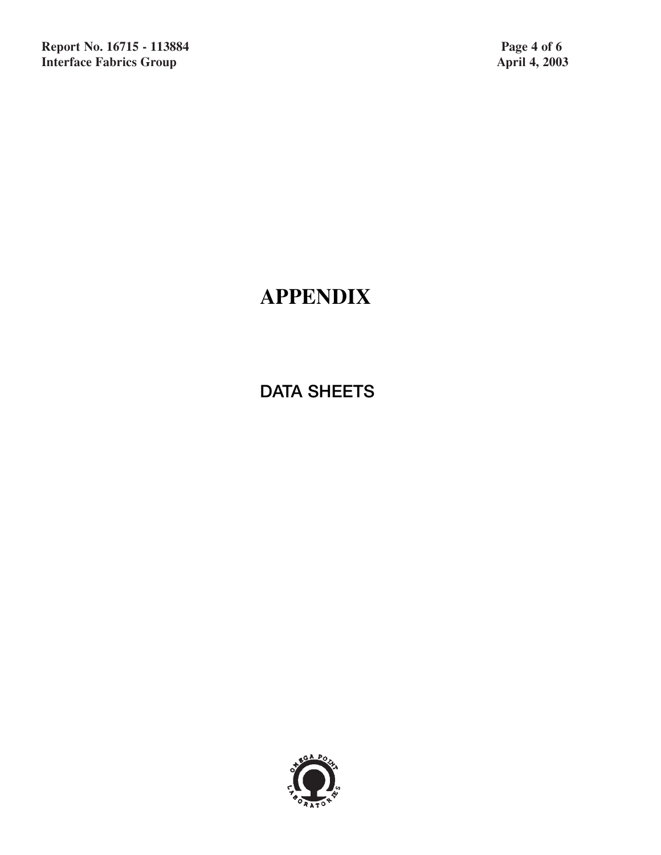# **APPENDIX**

**DATA SHEETS**

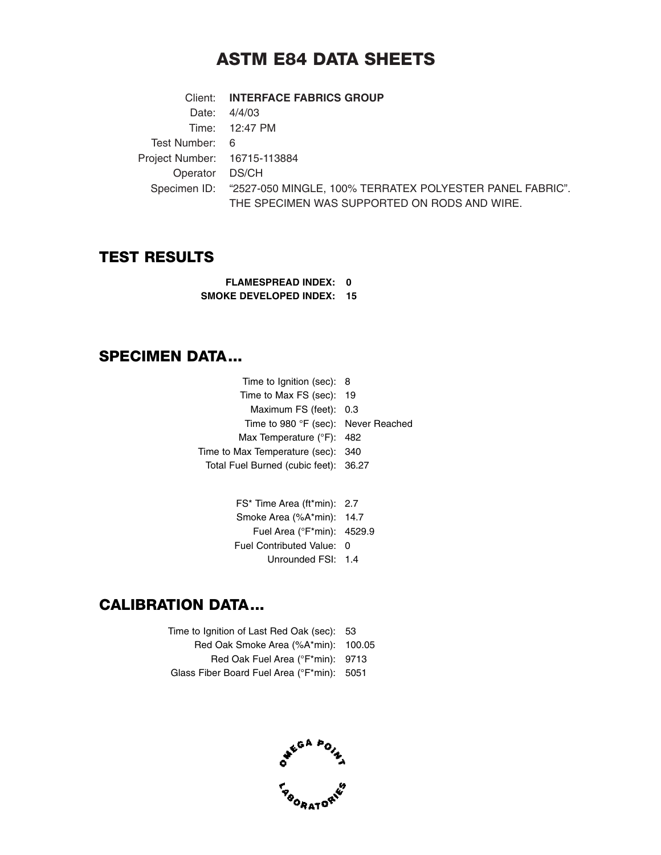## **ASTM E84 DATA SHEETS**

Client: **INTERFACE FABRICS GROUP** Date: 4/4/03 Time: 12:47 PM Test Number: 6 Project Number: 16715-113884 Operator DS/CH Specimen ID: "2527-050 MINGLE, 100% TERRATEX POLYESTER PANEL FABRIC". THE SPECIMEN WAS SUPPORTED ON RODS AND WIRE.

### **TEST RESULTS**

**FLAMESPREAD INDEX: 0 SMOKE DEVELOPED INDEX: 15**

### **SPECIMEN DATA...**

Time to Ignition (sec): 8 Time to Max FS (sec): 19 Maximum FS (feet): 0.3 Time to 980 °F (sec): Never Reached Max Temperature (°F): 482 Time to Max Temperature (sec): 340 Total Fuel Burned (cubic feet): 36.27

| FS* Time Area (ft*min): 2.7 |  |
|-----------------------------|--|
| Smoke Area (%A*min): 14.7   |  |
| Fuel Area (°F*min): 4529.9  |  |
| Fuel Contributed Value: 0   |  |
| Unrounded FSI: 1.4          |  |

## **CALIBRATION DATA...**

Time to Ignition of Last Red Oak (sec): 53 Red Oak Smoke Area (%A\*min): 100.05 Red Oak Fuel Area (°F\*min): 9713 Glass Fiber Board Fuel Area (°F\*min): 5051